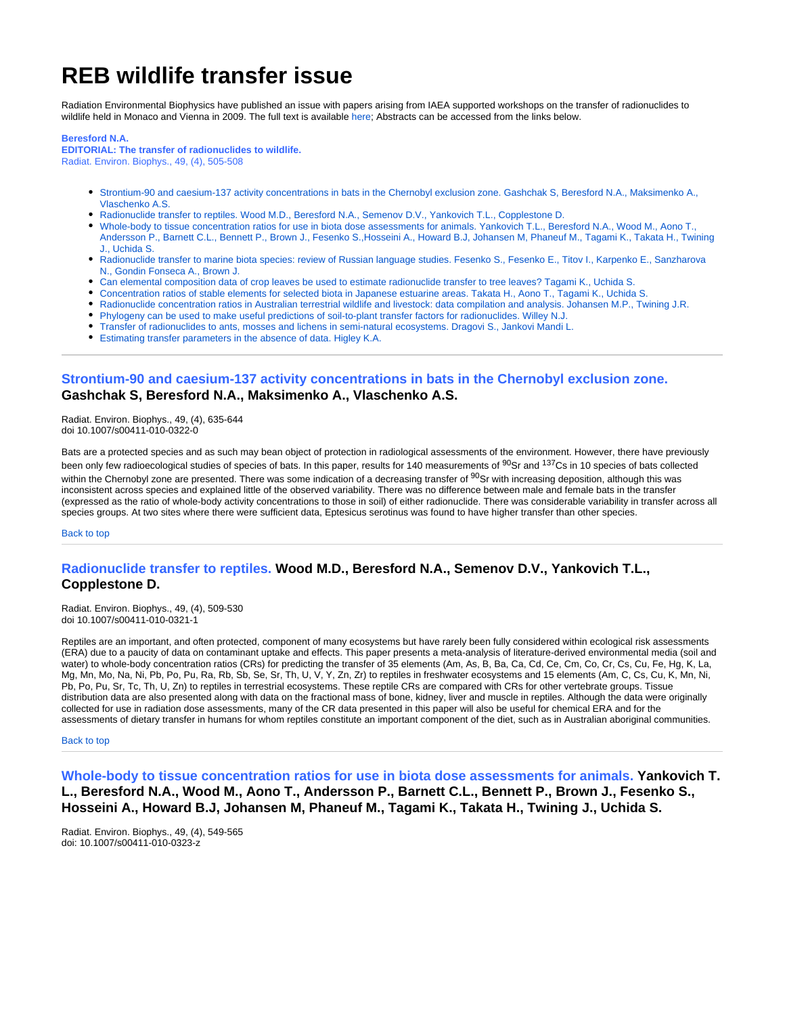# **REB wildlife transfer issue**

Radiation Environmental Biophysics have published an issue with papers arising from IAEA supported workshops on the transfer of radionuclides to wildlife held in Monaco and Vienna in 2009. The full text is available [here](http://www.springerlink.com/content/0301-634x/49/4/); Abstracts can be accessed from the links below.

#### **Beresford N.A.**

**EDITORIAL: The transfer of radionuclides to wildlife.** Radiat. Environ. Biophys., 49, (4), 505-508

- [Strontium-90 and caesium-137 activity concentrations in bats in the Chernobyl exclusion zone. Gashchak S, Beresford N.A., Maksimenko A.,](#page-0-0)  [Vlaschenko A.S.](#page-0-0)
- [Radionuclide transfer to reptiles. Wood M.D., Beresford N.A., Semenov D.V., Yankovich T.L., Copplestone D.](#page-0-1)
- [Whole-body to tissue concentration ratios for use in biota dose assessments for animals. Yankovich T.L., Beresford N.A., Wood M., Aono T.,](#page-0-2)  [Andersson P., Barnett C.L., Bennett P., Brown J., Fesenko S.,Hosseini A., Howard B.J, Johansen M, Phaneuf M., Tagami K., Takata H., Twining](#page-0-2)  [J., Uchida S.](#page-0-2)
- [Radionuclide transfer to marine biota species: review of Russian language studies. Fesenko S., Fesenko E., Titov I., Karpenko E., Sanzharova](#page-1-0)  [N., Gondin Fonseca A., Brown J.](#page-1-0)
- [Can elemental composition data of crop leaves be used to estimate radionuclide transfer to tree leaves? Tagami K., Uchida S.](#page-1-1)
- [Concentration ratios of stable elements for selected biota in Japanese estuarine areas. Takata H., Aono T., Tagami K., Uchida S.](#page-1-2)
- [Radionuclide concentration ratios in Australian terrestrial wildlife and livestock: data compilation and analysis. Johansen M.P., Twining J.R.](#page-1-3)
- [Phylogeny can be used to make useful predictions of soil-to-plant transfer factors for radionuclides. Willey N.J.](#page-2-0)
- [Transfer of radionuclides to ants, mosses and lichens in semi-natural ecosystems. Dragovi S., Jankovi Mandi L.](#page-2-1)
- [Estimating transfer parameters in the absence of data. Higley K.A.](#page-2-2)

# <span id="page-0-0"></span>**Strontium-90 and caesium-137 activity concentrations in bats in the Chernobyl exclusion zone. Gashchak S, Beresford N.A., Maksimenko A., Vlaschenko A.S.**

Radiat. Environ. Biophys., 49, (4), 635-644 doi 10.1007/s00411-010-0322-0

Bats are a protected species and as such may bean object of protection in radiological assessments of the environment. However, there have previously been only few radioecological studies of species of bats. In this paper, results for 140 measurements of <sup>90</sup>Sr and <sup>137</sup>Cs in 10 species of bats collected within the Chernobyl zone are presented. There was some indication of a decreasing transfer of <sup>90</sup>Sr with increasing deposition, although this was inconsistent across species and explained little of the observed variability. There was no difference between male and female bats in the transfer (expressed as the ratio of whole-body activity concentrations to those in soil) of either radionuclide. There was considerable variability in transfer across all species groups. At two sites where there were sufficient data, Eptesicus serotinus was found to have higher transfer than other species.

Back to top

# <span id="page-0-1"></span>**Radionuclide transfer to reptiles. Wood M.D., Beresford N.A., Semenov D.V., Yankovich T.L., Copplestone D.**

Radiat. Environ. Biophys., 49, (4), 509-530 doi 10.1007/s00411-010-0321-1

Reptiles are an important, and often protected, component of many ecosystems but have rarely been fully considered within ecological risk assessments (ERA) due to a paucity of data on contaminant uptake and effects. This paper presents a meta-analysis of literature-derived environmental media (soil and water) to whole-body concentration ratios (CRs) for predicting the transfer of 35 elements (Am, As, B, Ba, Ca, Cd, Ce, Cm, Co, Cr, Cs, Cu, Fe, Hg, K, La, Mg, Mn, Mo, Na, Ni, Pb, Po, Pu, Ra, Rb, Sb, Se, Sr, Th, U, V, Y, Zn, Zr) to reptiles in freshwater ecosystems and 15 elements (Am, C, Cs, Cu, K, Mn, Ni, Pb, Po, Pu, Sr, Tc, Th, U, Zn) to reptiles in terrestrial ecosystems. These reptile CRs are compared with CRs for other vertebrate groups. Tissue distribution data are also presented along with data on the fractional mass of bone, kidney, liver and muscle in reptiles. Although the data were originally collected for use in radiation dose assessments, many of the CR data presented in this paper will also be useful for chemical ERA and for the assessments of dietary transfer in humans for whom reptiles constitute an important component of the diet, such as in Australian aboriginal communities.

Back to top

<span id="page-0-2"></span>**Whole-body to tissue concentration ratios for use in biota dose assessments for animals. Yankovich T. L., Beresford N.A., Wood M., Aono T., Andersson P., Barnett C.L., Bennett P., Brown J., Fesenko S., Hosseini A., Howard B.J, Johansen M, Phaneuf M., Tagami K., Takata H., Twining J., Uchida S.**

Radiat. Environ. Biophys., 49, (4), 549-565 doi: 10.1007/s00411-010-0323-z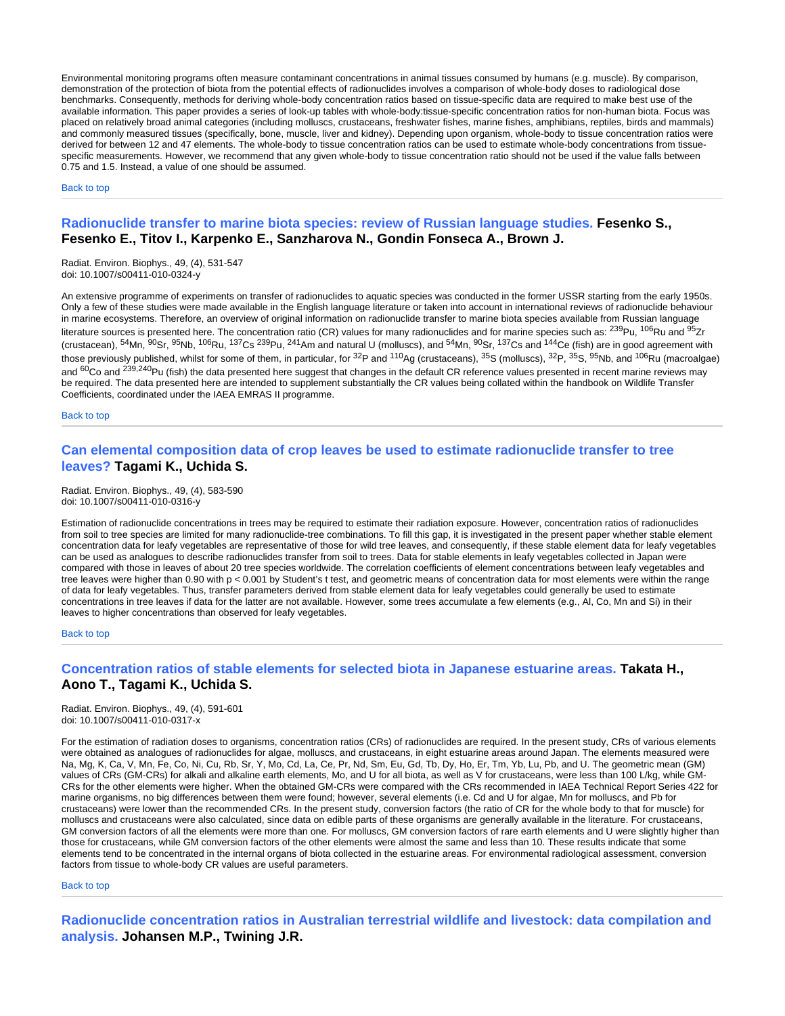Environmental monitoring programs often measure contaminant concentrations in animal tissues consumed by humans (e.g. muscle). By comparison, demonstration of the protection of biota from the potential effects of radionuclides involves a comparison of whole-body doses to radiological dose benchmarks. Consequently, methods for deriving whole-body concentration ratios based on tissue-specific data are required to make best use of the available information. This paper provides a series of look-up tables with whole-body:tissue-specific concentration ratios for non-human biota. Focus was placed on relatively broad animal categories (including molluscs, crustaceans, freshwater fishes, marine fishes, amphibians, reptiles, birds and mammals) and commonly measured tissues (specifically, bone, muscle, liver and kidney). Depending upon organism, whole-body to tissue concentration ratios were derived for between 12 and 47 elements. The whole-body to tissue concentration ratios can be used to estimate whole-body concentrations from tissuespecific measurements. However, we recommend that any given whole-body to tissue concentration ratio should not be used if the value falls between 0.75 and 1.5. Instead, a value of one should be assumed.

Back to top

### <span id="page-1-0"></span>**Radionuclide transfer to marine biota species: review of Russian language studies. Fesenko S., Fesenko E., Titov I., Karpenko E., Sanzharova N., Gondin Fonseca A., Brown J.**

Radiat. Environ. Biophys., 49, (4), 531-547 doi: 10.1007/s00411-010-0324-y

An extensive programme of experiments on transfer of radionuclides to aquatic species was conducted in the former USSR starting from the early 1950s. Only a few of these studies were made available in the English language literature or taken into account in international reviews of radionuclide behaviour in marine ecosystems. Therefore, an overview of original information on radionuclide transfer to marine biota species available from Russian language literature sources is presented here. The concentration ratio (CR) values for many radionuclides and for marine species such as: <sup>239</sup>Pu, <sup>106</sup>Ru and <sup>95</sup>Zr (crustacean),  $54$ Mn,  $90$ Sr,  $95$ Nb,  $10^6$ Ru,  $137$ Cs  $239$ Pu,  $241$ Am and natural U (molluscs), and  $54$ Mn,  $90$ Sr,  $137$ Cs and  $144$ Ce (fish) are in good agreement with those previously published, whilst for some of them, in particular, for  ${}^{32}P$  and  ${}^{110}Ag$  (crustaceans),  ${}^{35}S$  (molluscs),  ${}^{32}P$ ,  ${}^{35}S$ ,  ${}^{95}Nb$ , and  ${}^{106}Ru$  (macroalgae) and <sup>60</sup>Co and <sup>239,240</sup>Pu (fish) the data presented here suggest that changes in the default CR reference values presented in recent marine reviews may be required. The data presented here are intended to supplement substantially the CR values being collated within the handbook on Wildlife Transfer Coefficients, coordinated under the IAEA EMRAS II programme.

Back to top

# <span id="page-1-1"></span>**Can elemental composition data of crop leaves be used to estimate radionuclide transfer to tree leaves? Tagami K., Uchida S.**

Radiat. Environ. Biophys., 49, (4), 583-590 doi: 10.1007/s00411-010-0316-y

Estimation of radionuclide concentrations in trees may be required to estimate their radiation exposure. However, concentration ratios of radionuclides from soil to tree species are limited for many radionuclide-tree combinations. To fill this gap, it is investigated in the present paper whether stable element concentration data for leafy vegetables are representative of those for wild tree leaves, and consequently, if these stable element data for leafy vegetables can be used as analogues to describe radionuclides transfer from soil to trees. Data for stable elements in leafy vegetables collected in Japan were compared with those in leaves of about 20 tree species worldwide. The correlation coefficients of element concentrations between leafy vegetables and tree leaves were higher than 0.90 with p < 0.001 by Student's t test, and geometric means of concentration data for most elements were within the range of data for leafy vegetables. Thus, transfer parameters derived from stable element data for leafy vegetables could generally be used to estimate concentrations in tree leaves if data for the latter are not available. However, some trees accumulate a few elements (e.g., Al, Co, Mn and Si) in their leaves to higher concentrations than observed for leafy vegetables.

Back to top

#### <span id="page-1-2"></span>**Concentration ratios of stable elements for selected biota in Japanese estuarine areas. Takata H., Aono T., Tagami K., Uchida S.**

Radiat. Environ. Biophys., 49, (4), 591-601 doi: 10.1007/s00411-010-0317-x

For the estimation of radiation doses to organisms, concentration ratios (CRs) of radionuclides are required. In the present study, CRs of various elements were obtained as analogues of radionuclides for algae, molluscs, and crustaceans, in eight estuarine areas around Japan. The elements measured were Na, Mg, K, Ca, V, Mn, Fe, Co, Ni, Cu, Rb, Sr, Y, Mo, Cd, La, Ce, Pr, Nd, Sm, Eu, Gd, Tb, Dy, Ho, Er, Tm, Yb, Lu, Pb, and U. The geometric mean (GM) values of CRs (GM-CRs) for alkali and alkaline earth elements, Mo, and U for all biota, as well as V for crustaceans, were less than 100 L/kg, while GM-CRs for the other elements were higher. When the obtained GM-CRs were compared with the CRs recommended in IAEA Technical Report Series 422 for marine organisms, no big differences between them were found; however, several elements (i.e. Cd and U for algae, Mn for molluscs, and Pb for crustaceans) were lower than the recommended CRs. In the present study, conversion factors (the ratio of CR for the whole body to that for muscle) for molluscs and crustaceans were also calculated, since data on edible parts of these organisms are generally available in the literature. For crustaceans, GM conversion factors of all the elements were more than one. For molluscs, GM conversion factors of rare earth elements and U were slightly higher than those for crustaceans, while GM conversion factors of the other elements were almost the same and less than 10. These results indicate that some elements tend to be concentrated in the internal organs of biota collected in the estuarine areas. For environmental radiological assessment, conversion factors from tissue to whole-body CR values are useful parameters.

Back to top

<span id="page-1-3"></span>**Radionuclide concentration ratios in Australian terrestrial wildlife and livestock: data compilation and analysis. Johansen M.P., Twining J.R.**